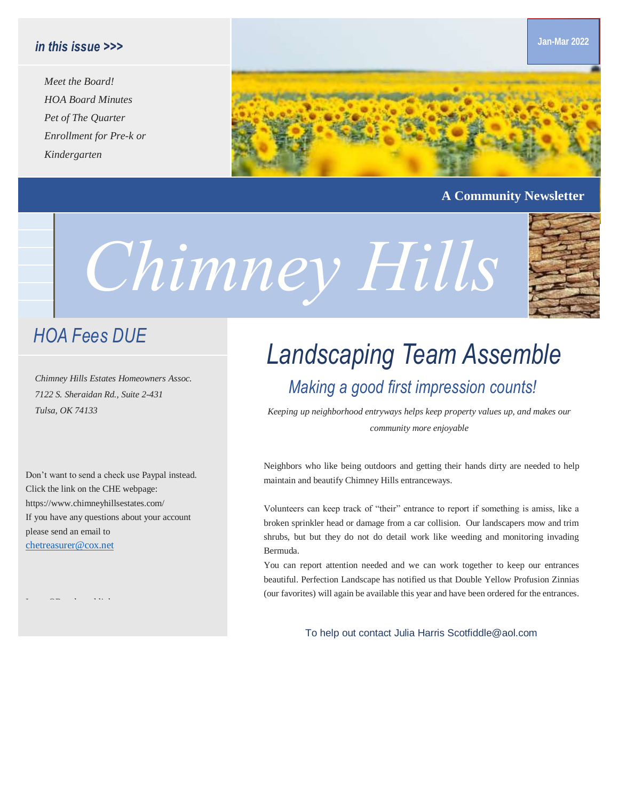#### *in this issue >>>*

*Meet the Board! HOA Board Minutes Pet of The Quarter Enrollment for Pre-k or Kindergarten*



#### **A Community Newsletter**

**Jan-Mar 2022**

# *Chimney Hills*

### *HOA Fees DUE*

*Chimney Hills Estates Homeowners Assoc. 7122 S. Sheraidan Rd., Suite 2-431*

Don't want to send a check use Paypal instead. Click the link on the CHE webpage: https://www.chimneyhillsestates.com/ If you have any questions about your account please send an email to [chetreasurer@cox.net](mailto:chetreasurer@cox.net)

## *Landscaping Team Assemble Making a good first impression counts!*

*Tulsa, OK 74133 Keeping up neighborhood entryways helps keep property values up, and makes our community more enjoyable*

> Neighbors who like being outdoors and getting their hands dirty are needed to help maintain and beautify Chimney Hills entranceways.

> Volunteers can keep track of "their" entrance to report if something is amiss, like a broken sprinkler head or damage from a car collision. Our landscapers mow and trim shrubs, but but they do not do detail work like weeding and monitoring invading Bermuda.

> You can report attention needed and we can work together to keep our entrances beautiful. Perfection Landscape has notified us that Double Yellow Profusion Zinnias (our favorites) will again be available this year and have been ordered for the entrances.

> > To help out contact Julia Harris Scotfiddle@aol.com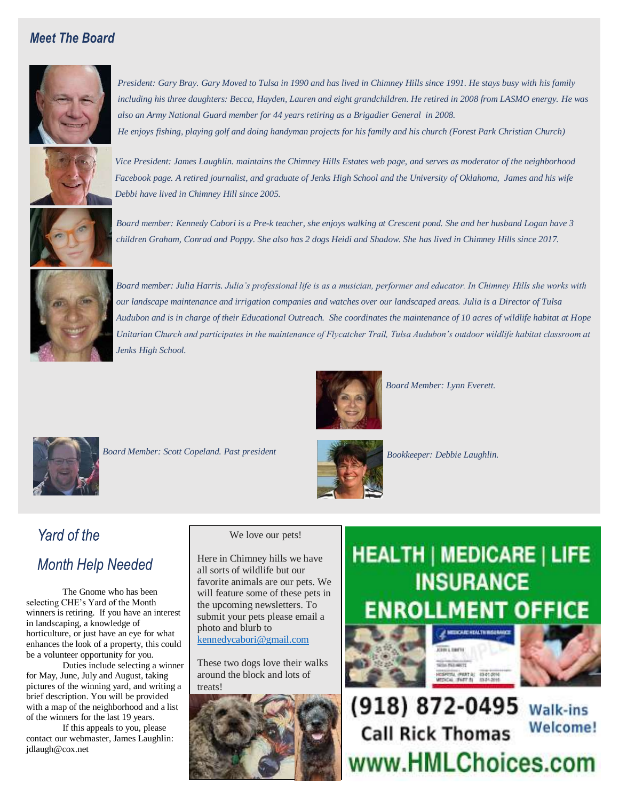#### *Meet The Board*



President: Gary Bray. Gary Moved to Tulsa in 1990 and has lived in Chimney Hills since 1991. He stays busy with his family *including his three daughters: Becca, Hayden, Lauren and eight grandchildren. He retired in 2008 from LASMO energy. He was also an Army National Guard member for 44 years retiring as a Brigadier General in 2008. He enjoys fishing, playing golf and doing handyman projects for his family and his church (Forest Park Christian Church)*



*Vice President: James Laughlin. maintains the Chimney Hills Estates web page, and serves as moderator of the neighborhood*  Facebook page. A retired journalist, and graduate of Jenks High School and the University of Oklahoma, James and his wife *Debbi have lived in Chimney Hill since 2005.*



*Board member: Kennedy Cabori is a Pre-k teacher, she enjoys walking at Crescent pond. She and her husband Logan have 3 children Graham, Conrad and Poppy. She also has 2 dogs Heidi and Shadow. She has lived in Chimney Hills since 2017.*



*Board member: Julia Harris. Julia's professional life is as a musician, performer and educator. In Chimney Hills she works with our landscape maintenance and irrigation companies and watches over our landscaped areas. Julia is a Director of Tulsa Audubon and is in charge of their Educational Outreach. She coordinates the maintenance of 10 acres of wildlife habitat at Hope Unitarian Church and participates in the maintenance of Flycatcher Trail, Tulsa Audubon's outdoor wildlife habitat classroom at Jenks High School.* 



*Board Member: Scott Copeland. Past president* 



*Board Member: Lynn Everett.* 



*Bookkeeper: Debbie Laughlin.*

## Yard of the **Month Help Needed**

The Gnome who has been selecting CHE's Yard of the Month winners is retiring. If you have an interest in landscaping, a knowledge of horticulture, or just have an eye for what enhances the look of a property, this could be a volunteer opportunity for you.

Duties include selecting a winner for May, June, July and August, taking pictures of the winning yard, and writing a brief description. You will be provided with a map of the neighborhood and a list of the winners for the last 19 years.

If this appeals to you, please contact our webmaster, James Laughlin: jdlaugh@cox.net

We love our pets!

Here in Chimney hills we have all sorts of wildlife but our favorite animals are our pets. We will feature some of these pets in the upcoming newsletters. To submit your pets please email a photo and blurb to [kennedycabori@gmail.com](mailto:kennedycabori@gmail.com)

These two dogs love their walks around the block and lots of treats!



## **HEALTH | MEDICARE | LIFE INSURANCE LMENT OFFICE**







(918) 872-0495 Walk-ins **Welcome! Call Rick Thomas** www.HMLChoices.com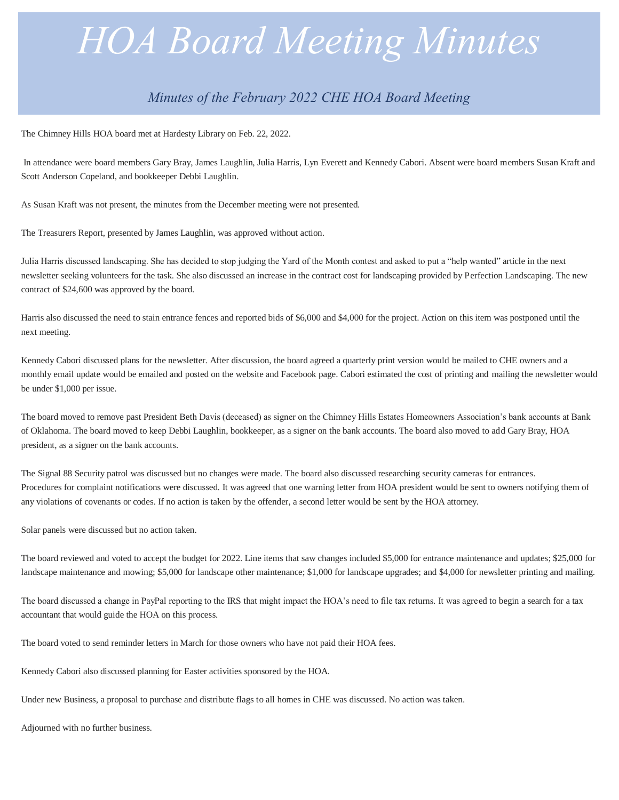# *HOA Board Meeting Minutes*

#### *Minutes of the February 2022 CHE HOA Board Meeting*

The Chimney Hills HOA board met at Hardesty Library on Feb. 22, 2022.

*.*

In attendance were board members Gary Bray, James Laughlin, Julia Harris, Lyn Everett and Kennedy Cabori. Absent were board members Susan Kraft and Scott Anderson Copeland, and bookkeeper Debbi Laughlin.

As Susan Kraft was not present, the minutes from the December meeting were not presented.

The Treasurers Report, presented by James Laughlin, was approved without action.

Julia Harris discussed landscaping. She has decided to stop judging the Yard of the Month contest and asked to put a "help wanted" article in the next newsletter seeking volunteers for the task. She also discussed an increase in the contract cost for landscaping provided by Perfection Landscaping. The new contract of \$24,600 was approved by the board.

*quis erat nostr uexerci tation llam* Harris also discussed the need to stain entrance fences and reported bids of \$6,000 and \$4,000 for the project. Action on this item was postponed until the *corper nostru exerci tation ullam.* next meeting.

Kennedy Cabori discussed plans for the newsletter. After discussion, the board agreed a quarterly print version would be mailed to CHE owners and a monthly email update would be emailed and posted on the website and Facebook page. Cabori estimated the cost of printing and mailing the newsletter would be under \$1,000 per issue.

The board moved to remove past President Beth Davis (deceased) as signer on the Chimney Hills Estates Homeowners Association's bank accounts at Bank of Oklahoma. The board moved to keep Debbi Laughlin, bookkeeper, as a signer on the bank accounts. The board also moved to add Gary Bray, HOA president, as a signer on the bank accounts.

The Signal 88 Security patrol was discussed but no changes were made. The board also discussed researching security cameras for entrances. Procedures for complaint notifications were discussed. It was agreed that one warning letter from HOA president would be sent to owners notifying them of any violations of covenants or codes. If no action is taken by the offender, a second letter would be sent by the HOA attorney.

Solar panels were discussed but no action taken.

landscape maintenance and mowing; \$5,000 for landscape other maintenance; \$1,000 for landscape upgrades; and \$4,000 for newsletter printing and mailing. The board reviewed and voted to accept the budget for 2022. Line items that saw changes included \$5,000 for entrance maintenance and updates; \$25,000 for

The board discussed a change in PayPal reporting to the IRS that might impact the HOA's need to file tax returns. It was agreed to begin a search for a tax accountant that would guide the HOA on this process.

The board voted to send reminder letters in March for those owners who have not paid their HOA fees.

Kennedy Cabori also discussed planning for Easter activities sponsored by the HOA.

Under new Business, a proposal to purchase and distribute flags to all homes in CHE was discussed. No action was taken.

Adjourned with no further business.